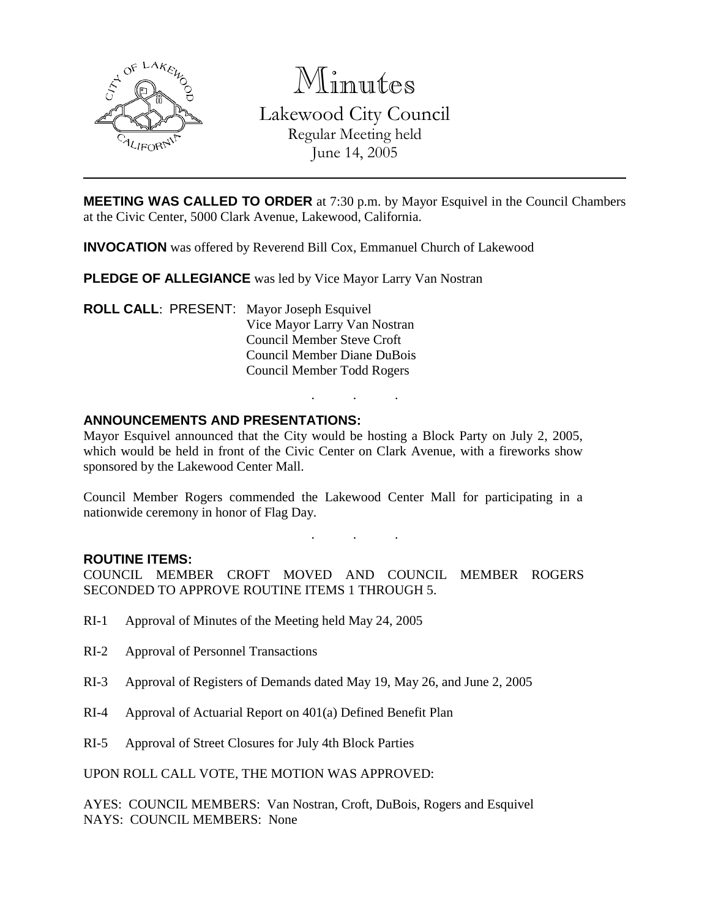

Minutes Lakewood City Council

Regular Meeting held June 14, 2005

**MEETING WAS CALLED TO ORDER** at 7:30 p.m. by Mayor Esquivel in the Council Chambers at the Civic Center, 5000 Clark Avenue, Lakewood, California.

**INVOCATION** was offered by Reverend Bill Cox, Emmanuel Church of Lakewood

**PLEDGE OF ALLEGIANCE** was led by Vice Mayor Larry Van Nostran

**ROLL CALL**: PRESENT: Mayor Joseph Esquivel Vice Mayor Larry Van Nostran Council Member Steve Croft Council Member Diane DuBois Council Member Todd Rogers

### **ANNOUNCEMENTS AND PRESENTATIONS:**

Mayor Esquivel announced that the City would be hosting a Block Party on July 2, 2005, which would be held in front of the Civic Center on Clark Avenue, with a fireworks show sponsored by the Lakewood Center Mall.

. . .

Council Member Rogers commended the Lakewood Center Mall for participating in a nationwide ceremony in honor of Flag Day.

. . .

#### **ROUTINE ITEMS:**

COUNCIL MEMBER CROFT MOVED AND COUNCIL MEMBER ROGERS SECONDED TO APPROVE ROUTINE ITEMS 1 THROUGH 5.

- RI-1 Approval of Minutes of the Meeting held May 24, 2005
- RI-2 Approval of Personnel Transactions
- RI-3 Approval of Registers of Demands dated May 19, May 26, and June 2, 2005
- RI-4 Approval of Actuarial Report on 401(a) Defined Benefit Plan
- RI-5 Approval of Street Closures for July 4th Block Parties

UPON ROLL CALL VOTE, THE MOTION WAS APPROVED:

AYES: COUNCIL MEMBERS: Van Nostran, Croft, DuBois, Rogers and Esquivel NAYS: COUNCIL MEMBERS: None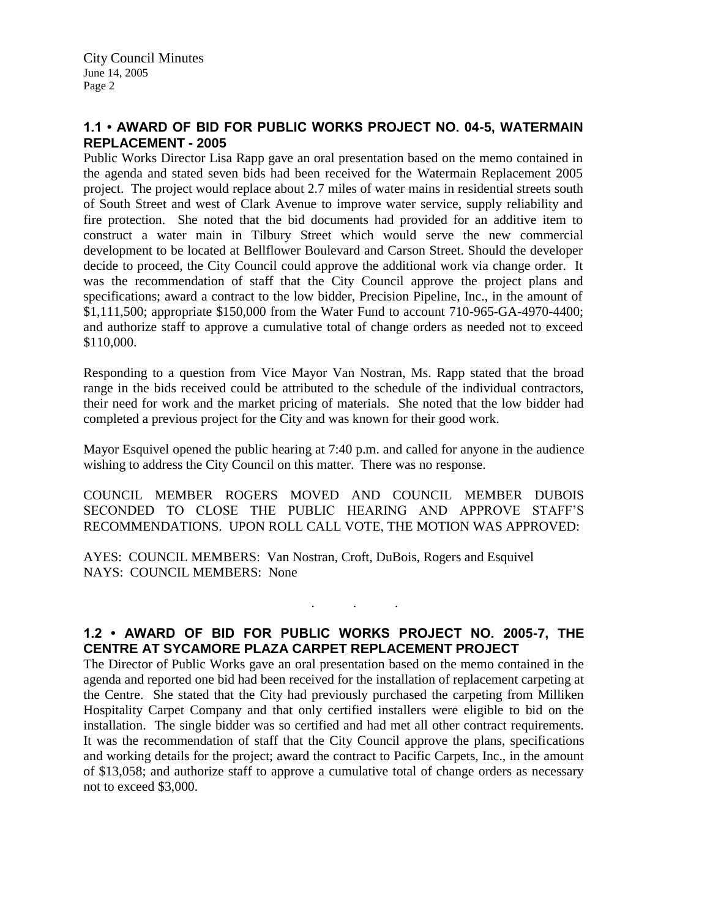# **1.1 • AWARD OF BID FOR PUBLIC WORKS PROJECT NO. 04-5, WATERMAIN REPLACEMENT - 2005**

Public Works Director Lisa Rapp gave an oral presentation based on the memo contained in the agenda and stated seven bids had been received for the Watermain Replacement 2005 project. The project would replace about 2.7 miles of water mains in residential streets south of South Street and west of Clark Avenue to improve water service, supply reliability and fire protection. She noted that the bid documents had provided for an additive item to construct a water main in Tilbury Street which would serve the new commercial development to be located at Bellflower Boulevard and Carson Street. Should the developer decide to proceed, the City Council could approve the additional work via change order. It was the recommendation of staff that the City Council approve the project plans and specifications; award a contract to the low bidder, Precision Pipeline, Inc., in the amount of \$1,111,500; appropriate \$150,000 from the Water Fund to account 710-965-GA-4970-4400; and authorize staff to approve a cumulative total of change orders as needed not to exceed \$110,000.

Responding to a question from Vice Mayor Van Nostran, Ms. Rapp stated that the broad range in the bids received could be attributed to the schedule of the individual contractors, their need for work and the market pricing of materials. She noted that the low bidder had completed a previous project for the City and was known for their good work.

Mayor Esquivel opened the public hearing at 7:40 p.m. and called for anyone in the audience wishing to address the City Council on this matter. There was no response.

COUNCIL MEMBER ROGERS MOVED AND COUNCIL MEMBER DUBOIS SECONDED TO CLOSE THE PUBLIC HEARING AND APPROVE STAFF'S RECOMMENDATIONS. UPON ROLL CALL VOTE, THE MOTION WAS APPROVED:

AYES: COUNCIL MEMBERS: Van Nostran, Croft, DuBois, Rogers and Esquivel NAYS: COUNCIL MEMBERS: None

# **1.2 • AWARD OF BID FOR PUBLIC WORKS PROJECT NO. 2005-7, THE CENTRE AT SYCAMORE PLAZA CARPET REPLACEMENT PROJECT**

. . .

The Director of Public Works gave an oral presentation based on the memo contained in the agenda and reported one bid had been received for the installation of replacement carpeting at the Centre. She stated that the City had previously purchased the carpeting from Milliken Hospitality Carpet Company and that only certified installers were eligible to bid on the installation. The single bidder was so certified and had met all other contract requirements. It was the recommendation of staff that the City Council approve the plans, specifications and working details for the project; award the contract to Pacific Carpets, Inc., in the amount of \$13,058; and authorize staff to approve a cumulative total of change orders as necessary not to exceed \$3,000.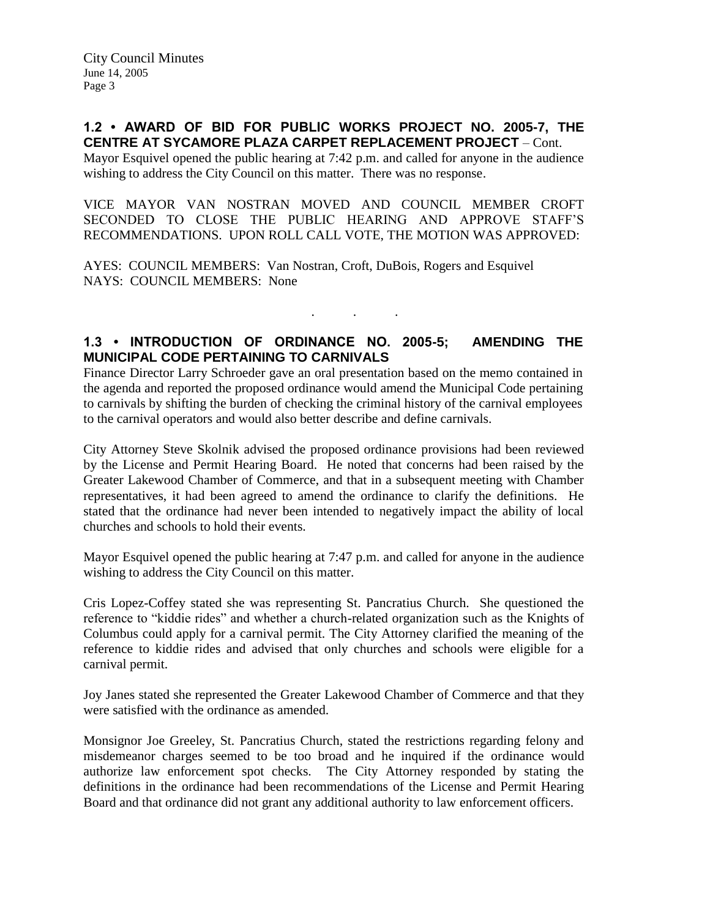# **1.2 • AWARD OF BID FOR PUBLIC WORKS PROJECT NO. 2005-7, THE CENTRE AT SYCAMORE PLAZA CARPET REPLACEMENT PROJECT** – Cont.

Mayor Esquivel opened the public hearing at 7:42 p.m. and called for anyone in the audience wishing to address the City Council on this matter. There was no response.

VICE MAYOR VAN NOSTRAN MOVED AND COUNCIL MEMBER CROFT SECONDED TO CLOSE THE PUBLIC HEARING AND APPROVE STAFF'S RECOMMENDATIONS. UPON ROLL CALL VOTE, THE MOTION WAS APPROVED:

AYES: COUNCIL MEMBERS: Van Nostran, Croft, DuBois, Rogers and Esquivel NAYS: COUNCIL MEMBERS: None

# **1.3 • INTRODUCTION OF ORDINANCE NO. 2005-5; AMENDING THE MUNICIPAL CODE PERTAINING TO CARNIVALS**

. . .

Finance Director Larry Schroeder gave an oral presentation based on the memo contained in the agenda and reported the proposed ordinance would amend the Municipal Code pertaining to carnivals by shifting the burden of checking the criminal history of the carnival employees to the carnival operators and would also better describe and define carnivals.

City Attorney Steve Skolnik advised the proposed ordinance provisions had been reviewed by the License and Permit Hearing Board. He noted that concerns had been raised by the Greater Lakewood Chamber of Commerce, and that in a subsequent meeting with Chamber representatives, it had been agreed to amend the ordinance to clarify the definitions. He stated that the ordinance had never been intended to negatively impact the ability of local churches and schools to hold their events.

Mayor Esquivel opened the public hearing at 7:47 p.m. and called for anyone in the audience wishing to address the City Council on this matter.

Cris Lopez-Coffey stated she was representing St. Pancratius Church. She questioned the reference to "kiddie rides" and whether a church-related organization such as the Knights of Columbus could apply for a carnival permit. The City Attorney clarified the meaning of the reference to kiddie rides and advised that only churches and schools were eligible for a carnival permit.

Joy Janes stated she represented the Greater Lakewood Chamber of Commerce and that they were satisfied with the ordinance as amended.

Monsignor Joe Greeley, St. Pancratius Church, stated the restrictions regarding felony and misdemeanor charges seemed to be too broad and he inquired if the ordinance would authorize law enforcement spot checks. The City Attorney responded by stating the definitions in the ordinance had been recommendations of the License and Permit Hearing Board and that ordinance did not grant any additional authority to law enforcement officers.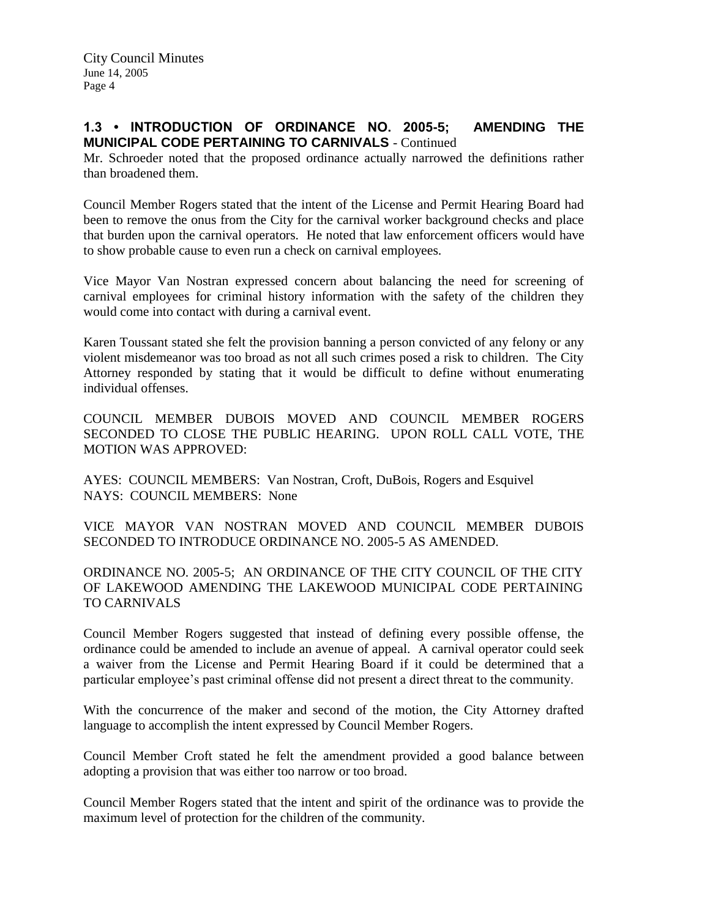#### **1.3 • INTRODUCTION OF ORDINANCE NO. 2005-5; AMENDING THE MUNICIPAL CODE PERTAINING TO CARNIVALS** - Continued

Mr. Schroeder noted that the proposed ordinance actually narrowed the definitions rather than broadened them.

Council Member Rogers stated that the intent of the License and Permit Hearing Board had been to remove the onus from the City for the carnival worker background checks and place that burden upon the carnival operators. He noted that law enforcement officers would have to show probable cause to even run a check on carnival employees.

Vice Mayor Van Nostran expressed concern about balancing the need for screening of carnival employees for criminal history information with the safety of the children they would come into contact with during a carnival event.

Karen Toussant stated she felt the provision banning a person convicted of any felony or any violent misdemeanor was too broad as not all such crimes posed a risk to children. The City Attorney responded by stating that it would be difficult to define without enumerating individual offenses.

COUNCIL MEMBER DUBOIS MOVED AND COUNCIL MEMBER ROGERS SECONDED TO CLOSE THE PUBLIC HEARING. UPON ROLL CALL VOTE, THE MOTION WAS APPROVED:

AYES: COUNCIL MEMBERS: Van Nostran, Croft, DuBois, Rogers and Esquivel NAYS: COUNCIL MEMBERS: None

VICE MAYOR VAN NOSTRAN MOVED AND COUNCIL MEMBER DUBOIS SECONDED TO INTRODUCE ORDINANCE NO. 2005-5 AS AMENDED.

ORDINANCE NO. 2005-5; AN ORDINANCE OF THE CITY COUNCIL OF THE CITY OF LAKEWOOD AMENDING THE LAKEWOOD MUNICIPAL CODE PERTAINING TO CARNIVALS

Council Member Rogers suggested that instead of defining every possible offense, the ordinance could be amended to include an avenue of appeal. A carnival operator could seek a waiver from the License and Permit Hearing Board if it could be determined that a particular employee's past criminal offense did not present a direct threat to the community.

With the concurrence of the maker and second of the motion, the City Attorney drafted language to accomplish the intent expressed by Council Member Rogers.

Council Member Croft stated he felt the amendment provided a good balance between adopting a provision that was either too narrow or too broad.

Council Member Rogers stated that the intent and spirit of the ordinance was to provide the maximum level of protection for the children of the community.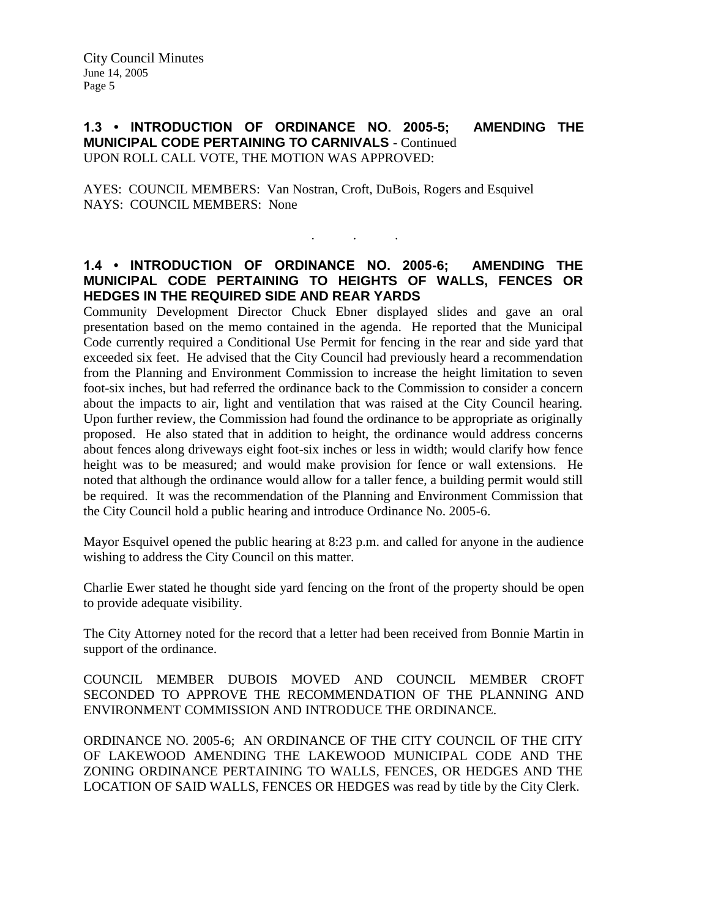City Council Minutes June 14, 2005 Page 5

**1.3 • INTRODUCTION OF ORDINANCE NO. 2005-5; AMENDING THE MUNICIPAL CODE PERTAINING TO CARNIVALS** - Continued UPON ROLL CALL VOTE, THE MOTION WAS APPROVED:

AYES: COUNCIL MEMBERS: Van Nostran, Croft, DuBois, Rogers and Esquivel NAYS: COUNCIL MEMBERS: None

### **1.4 • INTRODUCTION OF ORDINANCE NO. 2005-6; AMENDING THE MUNICIPAL CODE PERTAINING TO HEIGHTS OF WALLS, FENCES OR HEDGES IN THE REQUIRED SIDE AND REAR YARDS**

. . .

Community Development Director Chuck Ebner displayed slides and gave an oral presentation based on the memo contained in the agenda. He reported that the Municipal Code currently required a Conditional Use Permit for fencing in the rear and side yard that exceeded six feet. He advised that the City Council had previously heard a recommendation from the Planning and Environment Commission to increase the height limitation to seven foot-six inches, but had referred the ordinance back to the Commission to consider a concern about the impacts to air, light and ventilation that was raised at the City Council hearing. Upon further review, the Commission had found the ordinance to be appropriate as originally proposed. He also stated that in addition to height, the ordinance would address concerns about fences along driveways eight foot-six inches or less in width; would clarify how fence height was to be measured; and would make provision for fence or wall extensions. He noted that although the ordinance would allow for a taller fence, a building permit would still be required. It was the recommendation of the Planning and Environment Commission that the City Council hold a public hearing and introduce Ordinance No. 2005-6.

Mayor Esquivel opened the public hearing at 8:23 p.m. and called for anyone in the audience wishing to address the City Council on this matter.

Charlie Ewer stated he thought side yard fencing on the front of the property should be open to provide adequate visibility.

The City Attorney noted for the record that a letter had been received from Bonnie Martin in support of the ordinance.

COUNCIL MEMBER DUBOIS MOVED AND COUNCIL MEMBER CROFT SECONDED TO APPROVE THE RECOMMENDATION OF THE PLANNING AND ENVIRONMENT COMMISSION AND INTRODUCE THE ORDINANCE.

ORDINANCE NO. 2005-6; AN ORDINANCE OF THE CITY COUNCIL OF THE CITY OF LAKEWOOD AMENDING THE LAKEWOOD MUNICIPAL CODE AND THE ZONING ORDINANCE PERTAINING TO WALLS, FENCES, OR HEDGES AND THE LOCATION OF SAID WALLS, FENCES OR HEDGES was read by title by the City Clerk.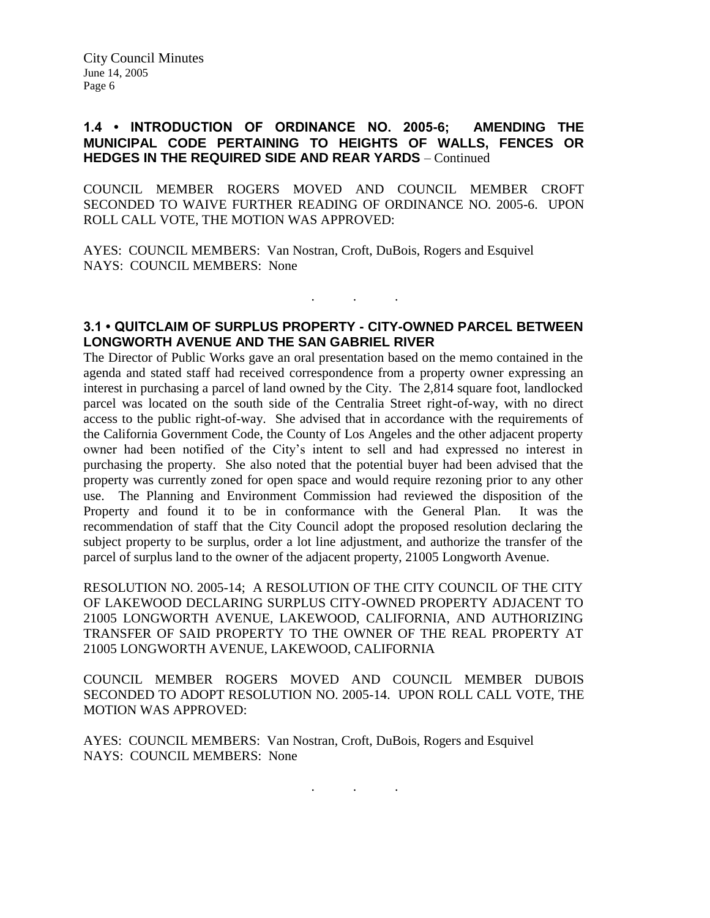#### **1.4 • INTRODUCTION OF ORDINANCE NO. 2005-6; AMENDING THE MUNICIPAL CODE PERTAINING TO HEIGHTS OF WALLS, FENCES OR HEDGES IN THE REQUIRED SIDE AND REAR YARDS** – Continued

COUNCIL MEMBER ROGERS MOVED AND COUNCIL MEMBER CROFT SECONDED TO WAIVE FURTHER READING OF ORDINANCE NO. 2005-6. UPON ROLL CALL VOTE, THE MOTION WAS APPROVED:

AYES: COUNCIL MEMBERS: Van Nostran, Croft, DuBois, Rogers and Esquivel NAYS: COUNCIL MEMBERS: None

### **3.1 • QUITCLAIM OF SURPLUS PROPERTY - CITY-OWNED PARCEL BETWEEN LONGWORTH AVENUE AND THE SAN GABRIEL RIVER**

. . .

The Director of Public Works gave an oral presentation based on the memo contained in the agenda and stated staff had received correspondence from a property owner expressing an interest in purchasing a parcel of land owned by the City. The 2,814 square foot, landlocked parcel was located on the south side of the Centralia Street right-of-way, with no direct access to the public right-of-way. She advised that in accordance with the requirements of the California Government Code, the County of Los Angeles and the other adjacent property owner had been notified of the City's intent to sell and had expressed no interest in purchasing the property. She also noted that the potential buyer had been advised that the property was currently zoned for open space and would require rezoning prior to any other use. The Planning and Environment Commission had reviewed the disposition of the Property and found it to be in conformance with the General Plan. It was the recommendation of staff that the City Council adopt the proposed resolution declaring the subject property to be surplus, order a lot line adjustment, and authorize the transfer of the parcel of surplus land to the owner of the adjacent property, 21005 Longworth Avenue.

RESOLUTION NO. 2005-14; A RESOLUTION OF THE CITY COUNCIL OF THE CITY OF LAKEWOOD DECLARING SURPLUS CITY-OWNED PROPERTY ADJACENT TO 21005 LONGWORTH AVENUE, LAKEWOOD, CALIFORNIA, AND AUTHORIZING TRANSFER OF SAID PROPERTY TO THE OWNER OF THE REAL PROPERTY AT 21005 LONGWORTH AVENUE, LAKEWOOD, CALIFORNIA

COUNCIL MEMBER ROGERS MOVED AND COUNCIL MEMBER DUBOIS SECONDED TO ADOPT RESOLUTION NO. 2005-14. UPON ROLL CALL VOTE, THE MOTION WAS APPROVED:

AYES: COUNCIL MEMBERS: Van Nostran, Croft, DuBois, Rogers and Esquivel NAYS: COUNCIL MEMBERS: None

. . .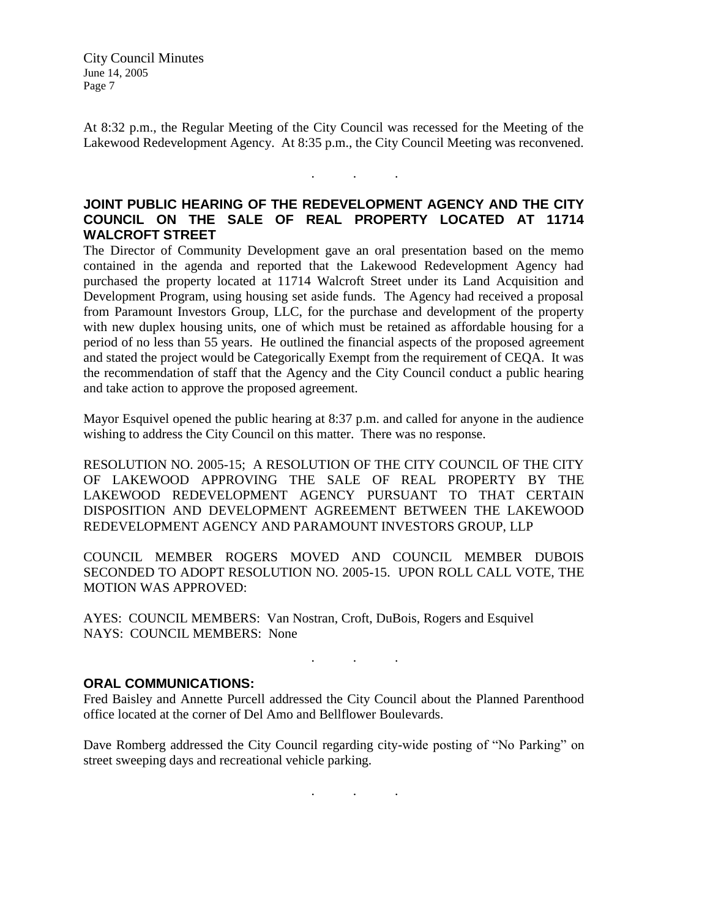City Council Minutes June 14, 2005 Page 7

At 8:32 p.m., the Regular Meeting of the City Council was recessed for the Meeting of the Lakewood Redevelopment Agency. At 8:35 p.m., the City Council Meeting was reconvened.

. . .

### **JOINT PUBLIC HEARING OF THE REDEVELOPMENT AGENCY AND THE CITY COUNCIL ON THE SALE OF REAL PROPERTY LOCATED AT 11714 WALCROFT STREET**

The Director of Community Development gave an oral presentation based on the memo contained in the agenda and reported that the Lakewood Redevelopment Agency had purchased the property located at 11714 Walcroft Street under its Land Acquisition and Development Program, using housing set aside funds. The Agency had received a proposal from Paramount Investors Group, LLC, for the purchase and development of the property with new duplex housing units, one of which must be retained as affordable housing for a period of no less than 55 years. He outlined the financial aspects of the proposed agreement and stated the project would be Categorically Exempt from the requirement of CEQA. It was the recommendation of staff that the Agency and the City Council conduct a public hearing and take action to approve the proposed agreement.

Mayor Esquivel opened the public hearing at 8:37 p.m. and called for anyone in the audience wishing to address the City Council on this matter. There was no response.

RESOLUTION NO. 2005-15; A RESOLUTION OF THE CITY COUNCIL OF THE CITY OF LAKEWOOD APPROVING THE SALE OF REAL PROPERTY BY THE LAKEWOOD REDEVELOPMENT AGENCY PURSUANT TO THAT CERTAIN DISPOSITION AND DEVELOPMENT AGREEMENT BETWEEN THE LAKEWOOD REDEVELOPMENT AGENCY AND PARAMOUNT INVESTORS GROUP, LLP

COUNCIL MEMBER ROGERS MOVED AND COUNCIL MEMBER DUBOIS SECONDED TO ADOPT RESOLUTION NO. 2005-15. UPON ROLL CALL VOTE, THE MOTION WAS APPROVED:

AYES: COUNCIL MEMBERS: Van Nostran, Croft, DuBois, Rogers and Esquivel NAYS: COUNCIL MEMBERS: None

### **ORAL COMMUNICATIONS:**

Fred Baisley and Annette Purcell addressed the City Council about the Planned Parenthood office located at the corner of Del Amo and Bellflower Boulevards.

. . .

Dave Romberg addressed the City Council regarding city-wide posting of "No Parking" on street sweeping days and recreational vehicle parking.

. . .